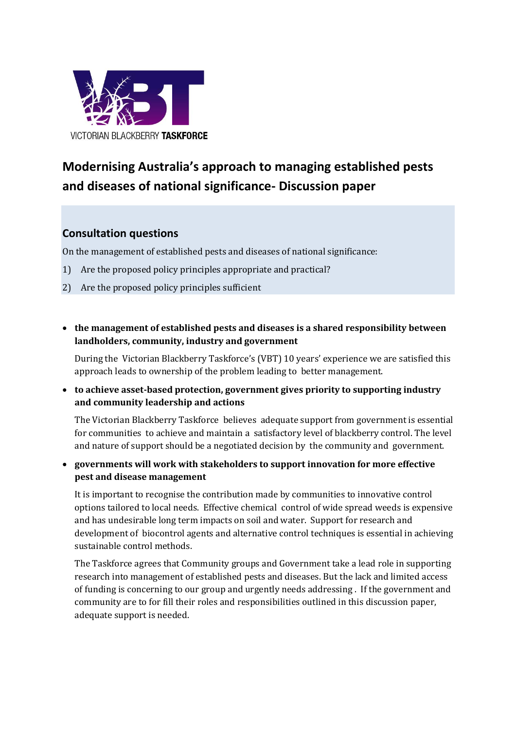

# **Modernising Australia's approach to managing established pests and diseases of national significance- Discussion paper**

# **Consultation questions**

On the management of established pests and diseases of national significance:

- 1) Are the proposed policy principles appropriate and practical?
- 2) Are the proposed policy principles sufficient
- **the management of established pests and diseases is a shared responsibility between landholders, community, industry and government**

During the Victorian Blackberry Taskforce's (VBT) 10 years' experience we are satisfied this approach leads to ownership of the problem leading to better management.

 **to achieve asset-based protection, government gives priority to supporting industry and community leadership and actions**

The Victorian Blackberry Taskforce believes adequate support from government is essential for communities to achieve and maintain a satisfactory level of blackberry control. The level and nature of support should be a negotiated decision by the community and government.

 **governments will work with stakeholders to support innovation for more effective pest and disease management**

It is important to recognise the contribution made by communities to innovative control options tailored to local needs. Effective chemical control of wide spread weeds is expensive and has undesirable long term impacts on soil and water. Support for research and development of biocontrol agents and alternative control techniques is essential in achieving sustainable control methods.

The Taskforce agrees that Community groups and Government take a lead role in supporting research into management of established pests and diseases. But the lack and limited access of funding is concerning to our group and urgently needs addressing . If the government and community are to for fill their roles and responsibilities outlined in this discussion paper, adequate support is needed.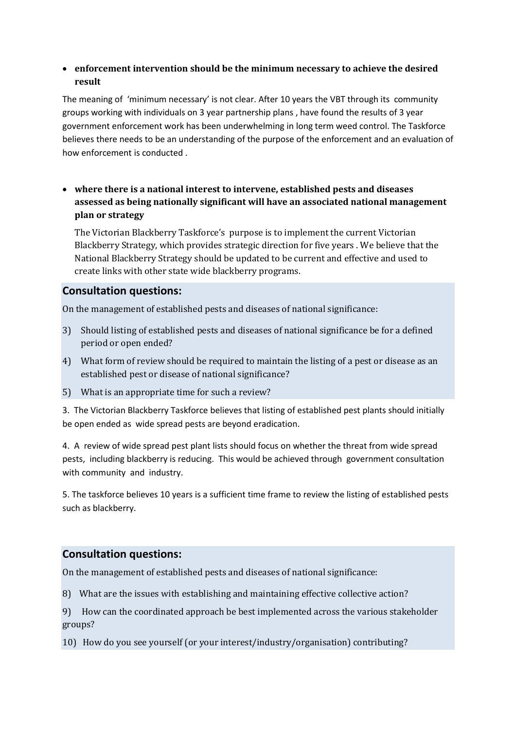#### **enforcement intervention should be the minimum necessary to achieve the desired result**

The meaning of 'minimum necessary' is not clear. After 10 years the VBT through its community groups working with individuals on 3 year partnership plans , have found the results of 3 year government enforcement work has been underwhelming in long term weed control. The Taskforce believes there needs to be an understanding of the purpose of the enforcement and an evaluation of how enforcement is conducted .

 **where there is a national interest to intervene, established pests and diseases assessed as being nationally significant will have an associated national management plan or strategy**

The Victorian Blackberry Taskforce's purpose is to implement the current Victorian Blackberry Strategy, which provides strategic direction for five years . We believe that the National Blackberry Strategy should be updated to be current and effective and used to create links with other state wide blackberry programs.

## **Consultation questions:**

On the management of established pests and diseases of national significance:

- 3) Should listing of established pests and diseases of national significance be for a defined period or open ended?
- 4) What form of review should be required to maintain the listing of a pest or disease as an established pest or disease of national significance?
- 5) What is an appropriate time for such a review?

3. The Victorian Blackberry Taskforce believes that listing of established pest plants should initially be open ended as wide spread pests are beyond eradication.

4. A review of wide spread pest plant lists should focus on whether the threat from wide spread pests, including blackberry is reducing. This would be achieved through government consultation with community and industry.

5. The taskforce believes 10 years is a sufficient time frame to review the listing of established pests such as blackberry.

## **Consultation questions:**

On the management of established pests and diseases of national significance:

8) What are the issues with establishing and maintaining effective collective action?

9) How can the coordinated approach be best implemented across the various stakeholder groups?

10) How do you see yourself (or your interest/industry/organisation) contributing?